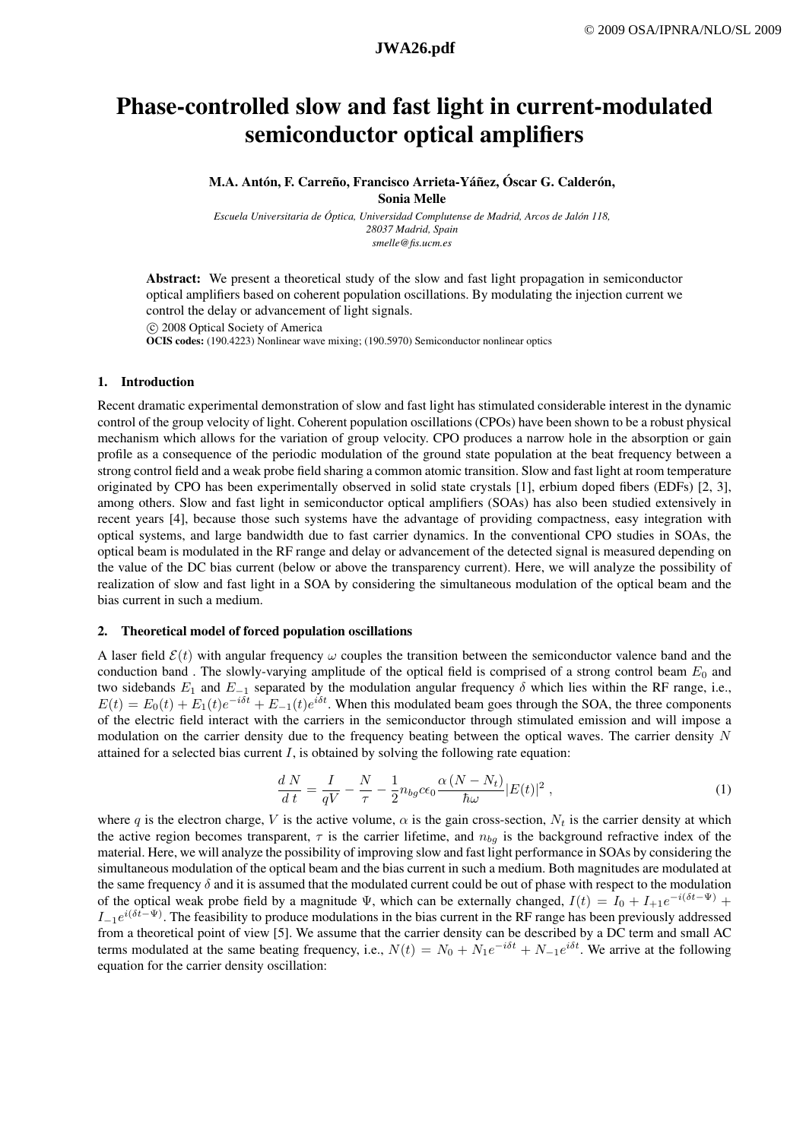# Phase-controlled slow and fast light in current-modulated semiconductor optical amplifiers

M.A. Antón, F. Carreño, Francisco Arrieta-Yáñez, Óscar G. Calderón, Sonia Melle

*Escuela Universitaria de Óptica, Universidad Complutense de Madrid, Arcos de Jalón 118, 28037 Madrid, Spain smelle@fis.ucm.es*

Abstract: We present a theoretical study of the slow and fast light propagation in semiconductor optical amplifiers based on coherent population oscillations. By modulating the injection current we control the delay or advancement of light signals.

°c 2008 Optical Society of America OCIS codes: (190.4223) Nonlinear wave mixing; (190.5970) Semiconductor nonlinear optics

### 1. Introduction

Recent dramatic experimental demonstration of slow and fast light has stimulated considerable interest in the dynamic control of the group velocity of light. Coherent population oscillations (CPOs) have been shown to be a robust physical mechanism which allows for the variation of group velocity. CPO produces a narrow hole in the absorption or gain profile as a consequence of the periodic modulation of the ground state population at the beat frequency between a strong control field and a weak probe field sharing a common atomic transition. Slow and fast light at room temperature originated by CPO has been experimentally observed in solid state crystals [1], erbium doped fibers (EDFs) [2, 3], among others. Slow and fast light in semiconductor optical amplifiers (SOAs) has also been studied extensively in recent years [4], because those such systems have the advantage of providing compactness, easy integration with optical systems, and large bandwidth due to fast carrier dynamics. In the conventional CPO studies in SOAs, the optical beam is modulated in the RF range and delay or advancement of the detected signal is measured depending on the value of the DC bias current (below or above the transparency current). Here, we will analyze the possibility of realization of slow and fast light in a SOA by considering the simultaneous modulation of the optical beam and the bias current in such a medium.

### 2. Theoretical model of forced population oscillations

A laser field  $\mathcal{E}(t)$  with angular frequency  $\omega$  couples the transition between the semiconductor valence band and the conduction band. The slowly-varying amplitude of the optical field is comprised of a strong control beam  $E_0$  and two sidebands  $E_1$  and  $E_{-1}$  separated by the modulation angular frequency  $\delta$  which lies within the RF range, i.e.,  $E(t) = E_0(t) + E_1(t)e^{-i\delta t} + E_{-1}(t)e^{i\delta t}$ . When this modulated beam goes through the SOA, the three components of the electric field interact with the carriers in the semiconductor through stimulated emission and will impose a modulation on the carrier density due to the frequency beating between the optical waves. The carrier density N attained for a selected bias current  $I$ , is obtained by solving the following rate equation:

$$
\frac{dN}{dt} = \frac{I}{qV} - \frac{N}{\tau} - \frac{1}{2}n_{bg}c\epsilon_0 \frac{\alpha (N - N_t)}{\hbar \omega} |E(t)|^2 ,\qquad (1)
$$

where q is the electron charge, V is the active volume,  $\alpha$  is the gain cross-section,  $N_t$  is the carrier density at which the active region becomes transparent,  $\tau$  is the carrier lifetime, and  $n_{ba}$  is the background refractive index of the material. Here, we will analyze the possibility of improving slow and fast light performance in SOAs by considering the simultaneous modulation of the optical beam and the bias current in such a medium. Both magnitudes are modulated at the same frequency  $\delta$  and it is assumed that the modulated current could be out of phase with respect to the modulation of the optical weak probe field by a magnitude  $\Psi$ , which can be externally changed,  $I(t) = I_0 + I_{+1}e^{-i(\delta t - \Psi)} +$  $I_{-1}e^{i(\delta t-\Psi)}$ . The feasibility to produce modulations in the bias current in the RF range has been previously addressed from a theoretical point of view [5]. We assume that the carrier density can be described by a DC term and small AC terms modulated at the same beating frequency, i.e.,  $N(t) = N_0 + N_1 e^{-i\delta t} + N_{-1} e^{i\delta t}$ . We arrive at the following equation for the carrier density oscillation: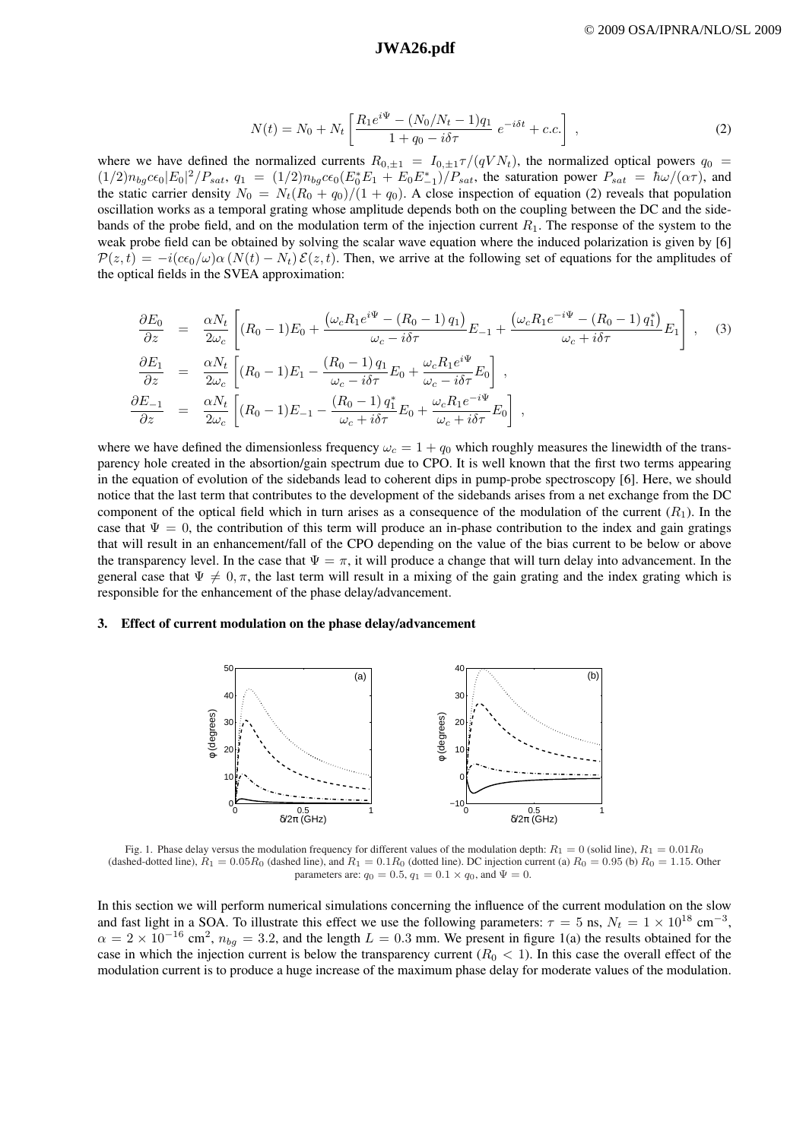## **a530\_1.pdf JWA26.pdf JWA26.pdf**

$$
N(t) = N_0 + N_t \left[ \frac{R_1 e^{i\Psi} - (N_0/N_t - 1)q_1}{1 + q_0 - i\delta\tau} e^{-i\delta t} + c.c. \right],
$$
 (2)

where we have defined the normalized currents  $R_{0,\pm 1} = I_{0,\pm 1}\tau/(qV N_t)$ , the normalized optical powers  $q_0 =$  $(1/2)n_{bg}c\epsilon_0|E_0|^2/P_{sat}$ ,  $q_1 = (1/2)n_{bg}c\epsilon_0(E_0^*E_1 + E_0E_{-1}^*)/P_{sat}$ , the saturation power  $P_{sat} = \hbar\omega/(\alpha\tau)$ , and the static carrier density  $N_0 = N_t(R_0 + q_0)/(1 + q_0)$ . A close inspection of equation (2) reveals that population oscillation works as a temporal grating whose amplitude depends both on the coupling between the DC and the sidebands of the probe field, and on the modulation term of the injection current  $R_1$ . The response of the system to the weak probe field can be obtained by solving the scalar wave equation where the induced polarization is given by [6]  $P(z,t) = -i(c\epsilon_0/\omega)\alpha (N(t) - N_t) \mathcal{E}(z,t)$ . Then, we arrive at the following set of equations for the amplitudes of the optical fields in the SVEA approximation:

$$
\frac{\partial E_0}{\partial z} = \frac{\alpha N_t}{2\omega_c} \left[ (R_0 - 1)E_0 + \frac{(\omega_c R_1 e^{i\Psi} - (R_0 - 1)q_1)}{\omega_c - i\delta\tau} E_{-1} + \frac{(\omega_c R_1 e^{-i\Psi} - (R_0 - 1)q_1^*)}{\omega_c + i\delta\tau} E_1 \right], \quad (3)
$$
  
\n
$$
\frac{\partial E_1}{\partial z} = \frac{\alpha N_t}{2\omega_c} \left[ (R_0 - 1)E_1 - \frac{(R_0 - 1)q_1}{\omega_c - i\delta\tau} E_0 + \frac{\omega_c R_1 e^{i\Psi}}{\omega_c - i\delta\tau} E_0 \right],
$$
  
\n
$$
\frac{\partial E_{-1}}{\partial z} = \frac{\alpha N_t}{2\omega_c} \left[ (R_0 - 1)E_{-1} - \frac{(R_0 - 1)q_1^*}{\omega_c + i\delta\tau} E_0 + \frac{\omega_c R_1 e^{-i\Psi}}{\omega_c + i\delta\tau} E_0 \right],
$$

where we have defined the dimensionless frequency  $\omega_c = 1 + q_0$  which roughly measures the linewidth of the transparency hole created in the absortion/gain spectrum due to CPO. It is well known that the first two terms appearing in the equation of evolution of the sidebands lead to coherent dips in pump-probe spectroscopy [6]. Here, we should notice that the last term that contributes to the development of the sidebands arises from a net exchange from the DC component of the optical field which in turn arises as a consequence of the modulation of the current  $(R_1)$ . In the case that  $\Psi = 0$ , the contribution of this term will produce an in-phase contribution to the index and gain gratings that will result in an enhancement/fall of the CPO depending on the value of the bias current to be below or above the transparency level. In the case that  $\Psi = \pi$ , it will produce a change that will turn delay into advancement. In the general case that  $\Psi \neq 0, \pi$ , the last term will result in a mixing of the gain grating and the index grating which is responsible for the enhancement of the phase delay/advancement.

#### 3. Effect of current modulation on the phase delay/advancement



Fig. 1. Phase delay versus the modulation frequency for different values of the modulation depth:  $R_1 = 0$  (solid line),  $R_1 = 0.01R_0$ (dashed-dotted line),  $R_1 = 0.05R_0$  (dashed line), and  $R_1 = 0.1R_0$  (dotted line). DC injection current (a)  $R_0 = 0.95$  (b)  $R_0 = 1.15$ . Other parameters are:  $q_0 = 0.5$ ,  $q_1 = 0.1 \times q_0$ , and  $\Psi = 0$ .

In this section we will perform numerical simulations concerning the influence of the current modulation on the slow and fast light in a SOA. To illustrate this effect we use the following parameters:  $\tau = 5$  ns,  $N_t = 1 \times 10^{18}$  cm<sup>-3</sup>,  $\alpha = 2 \times 10^{-16}$  cm<sup>2</sup>,  $n_{bg} = 3.2$ , and the length  $L = 0.3$  mm. We present in figure 1(a) the results obtained for the case in which the injection current is below the transparency current ( $R_0 < 1$ ). In this case the overall effect of the modulation current is to produce a huge increase of the maximum phase delay for moderate values of the modulation.